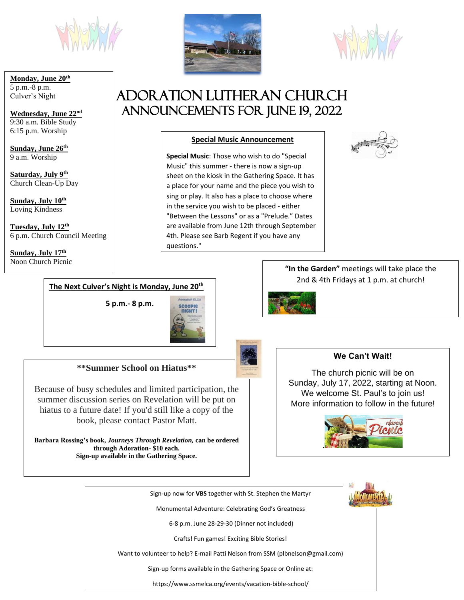

#### **Monday, June 20th** 5 p.m.-8 p.m. Culver's Night

**Wednesday, June 22nd**  9:30 a.m. Bible Study 6:15 p.m. Worship

**Sunday, June 26th** 9 a.m. Worship

**Saturday, July 9th** Church Clean-Up Day

**Sunday, July 10 th** Loving Kindness

**Tuesday, July 12th** 6 p.m. Church Council Meeting

**Sunday, July 17th** Noon Church Picnic





# Adoration Lutheran Church Announcements For JUNE 19, 2022

# **Special Music Announcement**

 **Special Music**: Those who wish to do "Special Music" this summer - there is now a sign-up sheet on the kiosk in the Gathering Space. It has a place for your name and the piece you wish to sing or play. It also has a place to choose where in the service you wish to be placed - either "Between the Lessons" or as a "Prelude." Dates are available from June 12th through September 4th. Please see Barb Regent if you have any questions."



**"In the Garden"** meetings will take place the 2nd & 4th Fridays at 1 p.m. at church!



#### **The Next Culver's Night is Monday, June 20th**

**5 p.m.- 8 p.m.**



**\*\*Summer School on Hiatus\*\***

Because of busy schedules and limited participation, the summer discussion series on Revelation will be put on hiatus to a future date! If you'd still like a copy of the book, please contact Pastor Matt.

**Barbara Rossing's book,** *Journeys Through Revelation,* **can be ordered through Adoration- \$10 each. Sign-up available in the Gathering Space.**

#### **We Can't Wait!**

The church picnic will be on Sunday, July 17, 2022, starting at Noon. We welcome St. Paul's to join us! More information to follow in the future!



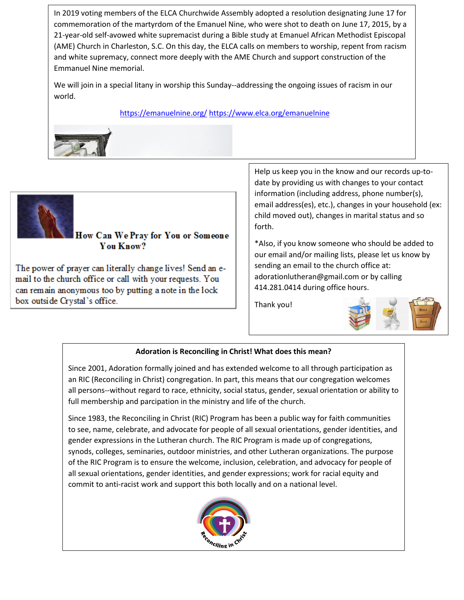In 2019 voting members of the ELCA Churchwide Assembly adopted a resolution designating June 17 for commemoration of the martyrdom of the Emanuel Nine, who were shot to death on June 17, 2015, by a 21-year-old self-avowed white supremacist during a Bible study at Emanuel African Methodist Episcopal (AME) Church in Charleston, S.C. On this day, the ELCA calls on members to worship, repent from racism and white supremacy, connect more deeply with the AME Church and support construction of the Emmanuel Nine memorial.

We will join in a special litany in worship this Sunday--addressing the ongoing issues of racism in our world.

<https://emanuelnine.org/> <https://www.elca.org/emanuelnine>



 $\overline{a}$ 

### How Can We Pray for You or Someone You Know?

The power of prayer can literally change lives! Send an email to the church office or call with your requests. You can remain anonymous too by putting a note in the lock box outside Crystal's office.

Help us keep you in the know and our records up-todate by providing us with changes to your contact information (including address, phone number(s), email address(es), etc.), changes in your household (ex: child moved out), changes in marital status and so forth.

\*Also, if you know someone who should be added to our email and/or mailing lists, please let us know by sending an email to the church office at: adorationlutheran@gmail.com or by calling 414.281.0414 during office hours.

Thank you!



#### **Adoration is Reconciling in Christ! What does this mean?**

Since 2001, Adoration formally joined and has extended welcome to all through participation as an RIC (Reconciling in Christ) congregation. In part, this means that our congregation welcomes all persons--without regard to race, ethnicity, social status, gender, sexual orientation or ability to full membership and parcipation in the ministry and life of the church.

Since 1983, the Reconciling in Christ (RIC) Program has been a public way for faith communities to see, name, celebrate, and advocate for people of all sexual orientations, gender identities, and gender expressions in the Lutheran church. The RIC Program is made up of congregations, synods, colleges, seminaries, outdoor ministries, and other Lutheran organizations. The purpose of the RIC Program is to ensure the welcome, inclusion, celebration, and advocacy for people of all sexual orientations, gender identities, and gender expressions; work for racial equity and commit to anti-racist work and support this both locally and on a national level.